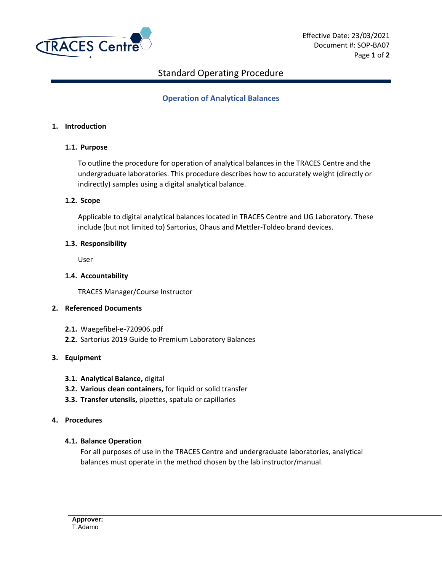

# Standard Operating Procedure

# **Operation of Analytical Balances**

### **1. Introduction**

## **1.1. Purpose**

To outline the procedure for operation of analytical balances in the TRACES Centre and the undergraduate laboratories. This procedure describes how to accurately weight (directly or indirectly) samples using a digital analytical balance.

#### **1.2. Scope**

Applicable to digital analytical balances located in TRACES Centre and UG Laboratory. These include (but not limited to) Sartorius, Ohaus and Mettler-Toldeo brand devices.

#### **1.3. Responsibility**

User

## **1.4. Accountability**

TRACES Manager/Course Instructor

#### **2. Referenced Documents**

- **2.1.** Waegefibel-e-720906.pdf
- **2.2.** Sartorius 2019 Guide to Premium Laboratory Balances

## **3. Equipment**

- **3.1. Analytical Balance,** digital
- **3.2. Various clean containers,** for liquid or solid transfer
- **3.3. Transfer utensils,** pipettes, spatula or capillaries

#### **4. Procedures**

## **4.1. Balance Operation**

For all purposes of use in the TRACES Centre and undergraduate laboratories, analytical balances must operate in the method chosen by the lab instructor/manual.